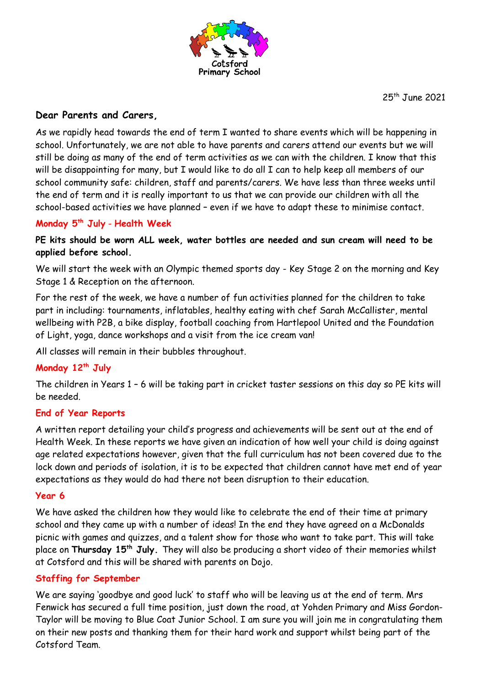

25th June 2021

# **Dear Parents and Carers,**

As we rapidly head towards the end of term I wanted to share events which will be happening in school. Unfortunately, we are not able to have parents and carers attend our events but we will still be doing as many of the end of term activities as we can with the children. I know that this will be disappointing for many, but I would like to do all I can to help keep all members of our school community safe: children, staff and parents/carers. We have less than three weeks until the end of term and it is really important to us that we can provide our children with all the school-based activities we have planned – even if we have to adapt these to minimise contact.

## **Monday 5th July** - **Health Week**

## **PE kits should be worn ALL week, water bottles are needed and sun cream will need to be applied before school.**

We will start the week with an Olympic themed sports day - Key Stage 2 on the morning and Key Stage 1 & Reception on the afternoon.

For the rest of the week, we have a number of fun activities planned for the children to take part in including: tournaments, inflatables, healthy eating with chef Sarah McCallister, mental wellbeing with P2B, a bike display, football coaching from Hartlepool United and the Foundation of Light, yoga, dance workshops and a visit from the ice cream van!

All classes will remain in their bubbles throughout.

## **Monday 12th July**

The children in Years 1 – 6 will be taking part in cricket taster sessions on this day so PE kits will be needed.

## **End of Year Reports**

A written report detailing your child's progress and achievements will be sent out at the end of Health Week. In these reports we have given an indication of how well your child is doing against age related expectations however, given that the full curriculum has not been covered due to the lock down and periods of isolation, it is to be expected that children cannot have met end of year expectations as they would do had there not been disruption to their education.

### **Year 6**

We have asked the children how they would like to celebrate the end of their time at primary school and they came up with a number of ideas! In the end they have agreed on a McDonalds picnic with games and quizzes, and a talent show for those who want to take part. This will take place on **Thursday 15th July.** They will also be producing a short video of their memories whilst at Cotsford and this will be shared with parents on Dojo.

## **Staffing for September**

We are saying 'goodbye and good luck' to staff who will be leaving us at the end of term. Mrs Fenwick has secured a full time position, just down the road, at Yohden Primary and Miss Gordon-Taylor will be moving to Blue Coat Junior School. I am sure you will join me in congratulating them on their new posts and thanking them for their hard work and support whilst being part of the Cotsford Team.